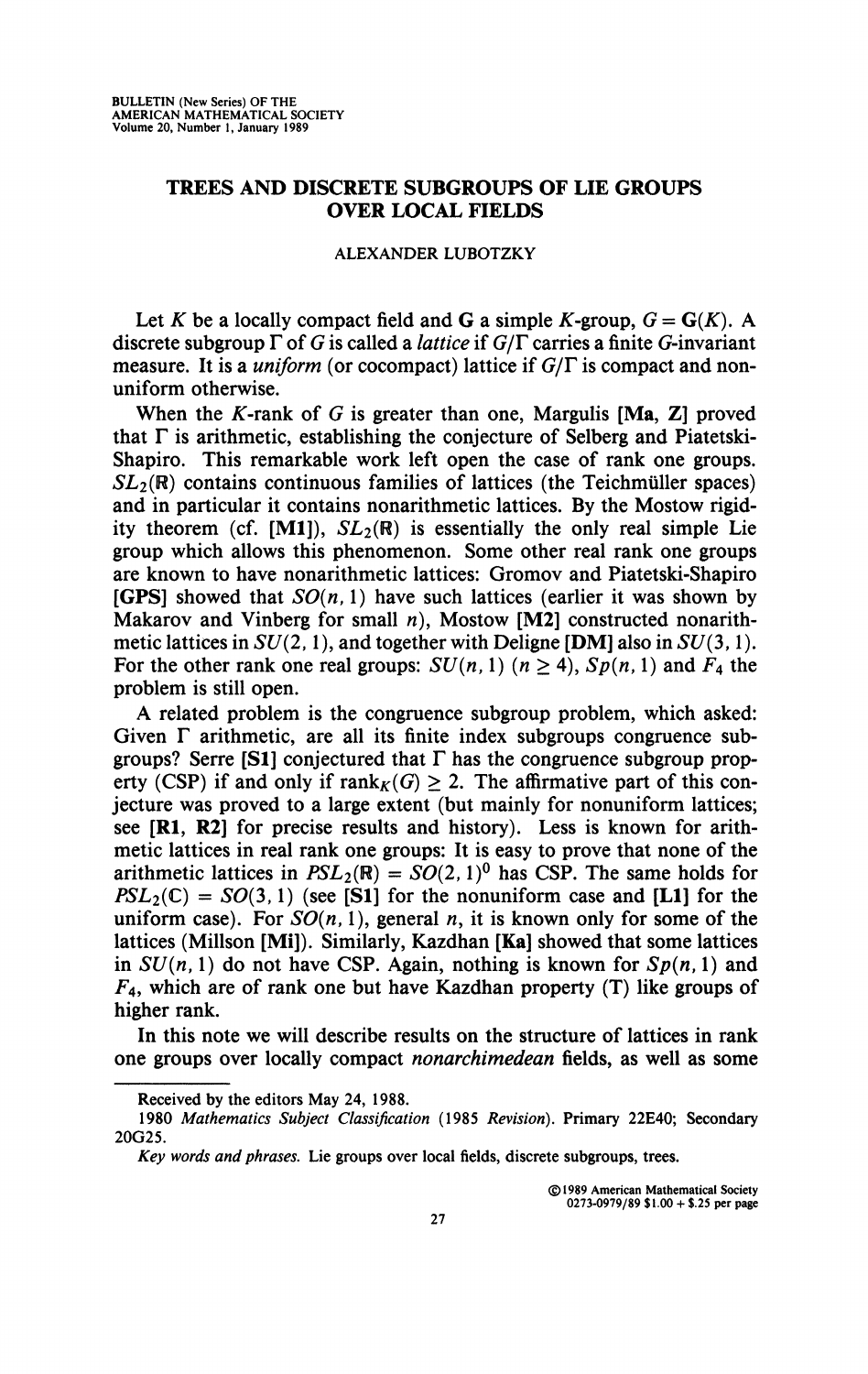## **TREES AND DISCRETE SUBGROUPS OF LIE GROUPS OVER LOCAL FIELDS**

## **ALEXANDER LUBOTZKY**

Let K be a locally compact field and G a simple K-group,  $G = G(K)$ . A discrete subgroup *T* of *G* is called a *lattice* if *G/F* carries a finite G-invariant measure. It is a *uniform* (or cocompact) lattice if *G/T* is compact and nonuniform otherwise.

When the K-rank of  $G$  is greater than one, Margulis [Ma, Z] proved that  $\Gamma$  is arithmetic, establishing the conjecture of Selberg and Piatetski-Shapiro. This remarkable work left open the case of rank one groups.  $SL_2(\mathbb{R})$  contains continuous families of lattices (the Teichmüller spaces) and in particular it contains nonarithmetic lattices. By the Mostow rigidity theorem (cf. [M1]),  $SL_2(\mathbb{R})$  is essentially the only real simple Lie group which allows this phenomenon. Some other real rank one groups are known to have nonarithmetic lattices: Gromov and Piatetski-Shapiro **[GPS]** showed that  $SO(n, 1)$  have such lattices (earlier it was shown by Makarov and Vinberg for small *n),* Mostow [M2] constructed nonarithmetic lattices in *SU(2,*1 ), and together with Deligne [DM] also in *SU*(3,1 ). For the other rank one real groups:  $SU(n, 1)$   $(n > 4)$ ,  $Sp(n, 1)$  and  $F_4$  the problem is still open.

A related problem is the congruence subgroup problem, which asked: Given  $\Gamma$  arithmetic, are all its finite index subgroups congruence subgroups? Serre [S1] conjectured that  $\Gamma$  has the congruence subgroup property (CSP) if and only if rank $_K(G) \geq 2$ . The affirmative part of this conjecture was proved to a large extent (but mainly for nonuniform lattices; see **[RI, R2]** for precise results and history). Less is known for arithmetic lattices in real rank one groups: It is easy to prove that none of the arithmetic lattices in  $PSL_2(\mathbb{R}) = SO(2,1)^0$  has CSP. The same holds for  $PSL_2(\mathbb{C}) = SO(3, 1)$  (see [S1] for the nonuniform case and [L1] for the uniform case). For  $SO(n, 1)$ , general *n*, it is known only for some of the lattices (Millson [Mi]). Similarly, Kazdhan [Ka] showed that some lattices in  $SU(n, 1)$  do not have CSP. Again, nothing is known for  $Sp(n, 1)$  and  $F_4$ , which are of rank one but have Kazdhan property (T) like groups of higher rank.

In this note we will describe results on the structure of lattices in rank one groups over locally compact *nonarchimedean* fields, as well as some

**©1989 American Mathematical Society 0273-0979/89 \$1.00 + \$.25 per page** 

**Received by the editors May 24, 1988.** 

**<sup>1980</sup>** *Mathematics Subject Classification* **(1985** *Revision).* **Primary 22E40; Secondary 20G25.** 

*Key words and phrases.* **Lie groups over local fields, discrete subgroups, trees.**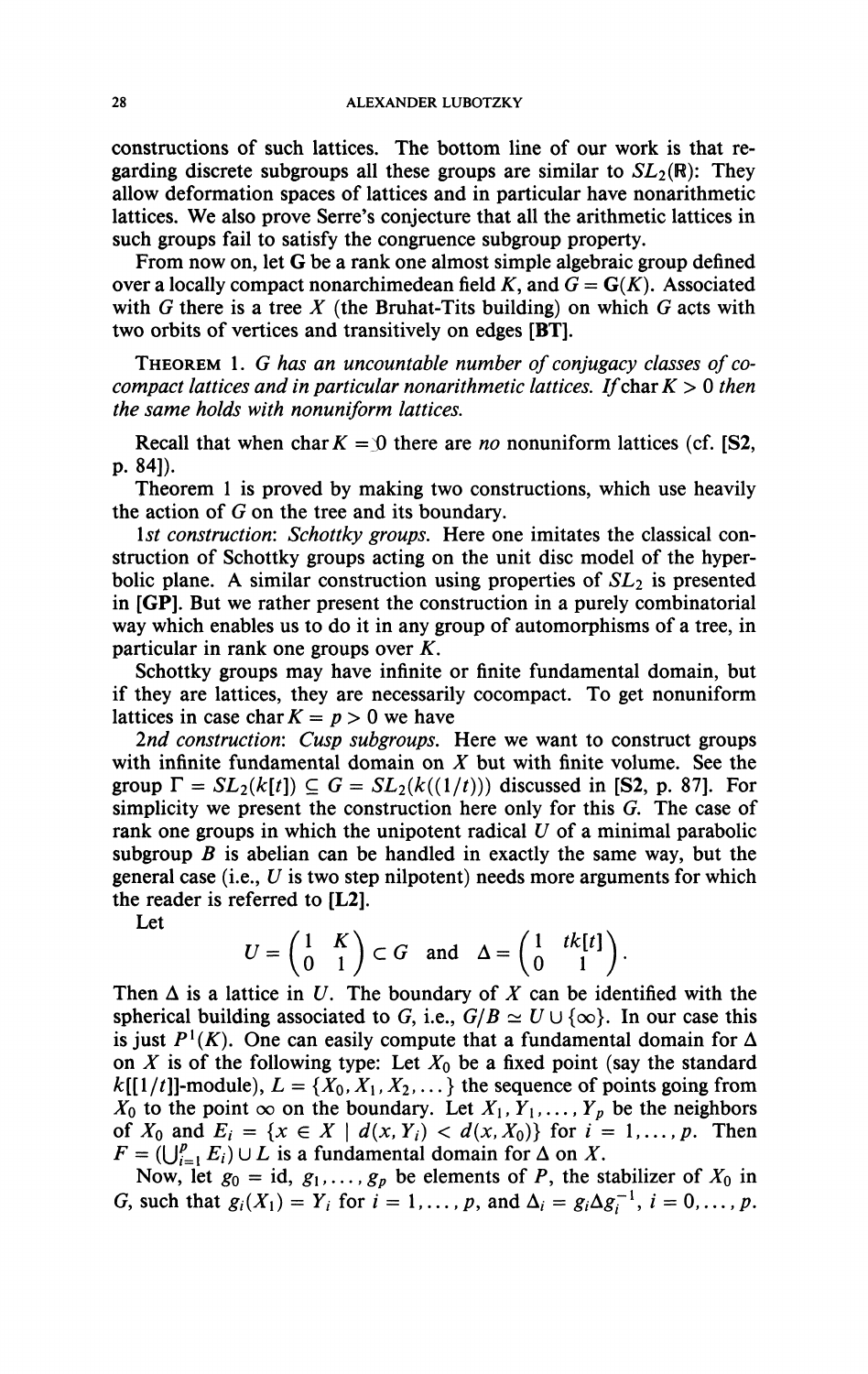constructions of such lattices. The bottom line of our work is that regarding discrete subgroups all these groups are similar to  $SL_2(\mathbb{R})$ : They allow deformation spaces of lattices and in particular have nonarithmetic lattices. We also prove Serre's conjecture that all the arithmetic lattices in such groups fail to satisfy the congruence subgroup property.

From now on, let G be a rank one almost simple algebraic group defined over a locally compact nonarchimedean field K, and  $G = G(K)$ . Associated with *G* there is a tree *X* (the Bruhat-Tits building) on which *G* acts with two orbits of vertices and transitively on edges [BT].

THEOREM 1. G has an uncountable number of conjugacy classes of co*compact lattices and in particular nonarithmetic lattices. If char*  $K > 0$  *then the same holds with nonuniform lattices.* 

Recall that when char  $K = \mathcal{D}$  there are *no* nonuniform lattices (cf. [S2, P. 84]).

Theorem 1 is proved by making two constructions, which use heavily the action of *G* on the tree and its boundary.

*1st construction: Schottky groups.* Here one imitates the classical construction of Schottky groups acting on the unit disc model of the hyperbolic plane. A similar construction using properties of *SL2* is presented in [GP]. But we rather present the construction in a purely combinatorial way which enables us to do it in any group of automorphisms of a tree, in particular in rank one groups over *K.* 

Schottky groups may have infinite or finite fundamental domain, but if they are lattices, they are necessarily cocompact. To get nonuniform lattices in case char  $K = p > 0$  we have

*2nd construction: Cusp subgroups.* Here we want to construct groups with infinite fundamental domain on *X* but with finite volume. See the group  $\Gamma = SL_2(k[t]) \subseteq G = SL_2(k((1/t)))$  discussed in [S2, p. 87]. For simplicity we present the construction here only for this *G.* The case of rank one groups in which the unipotent radical *U* of a minimal parabolic subgroup  $B$  is abelian can be handled in exactly the same way, but the general case (i.e., *U* is two step nilpotent) needs more arguments for which the reader is referred to [L2].

Let

$$
U = \begin{pmatrix} 1 & K \\ 0 & 1 \end{pmatrix} \subset G \text{ and } \Delta = \begin{pmatrix} 1 & tk[t] \\ 0 & 1 \end{pmatrix}.
$$

Then  $\Delta$  is a lattice in U. The boundary of X can be identified with the spherical building associated to G, i.e.,  $G/B \simeq U \cup \{\infty\}$ . In our case this is just  $P^1(K)$ . One can easily compute that a fundamental domain for  $\Delta$ on  $X$  is of the following type: Let  $X_0$  be a fixed point (say the standard  $k[[1/t]]$ -module),  $L = \{X_0, X_1, X_2, \dots\}$  the sequence of points going from  $X_0$  to the point  $\infty$  on the boundary. Let  $X_1, Y_1, \ldots, Y_p$  be the neighbors of  $X_0$  and  $E_i = \{x \in X \mid d(x, Y_i) < d(x, X_0)\}$  for  $i = 1, \ldots, p$ . Then  $F = (\bigcup_{i=1}^p E_i) \cup L$  is a fundamental domain for  $\Delta$  on X.

Now, let  $g_0 = id$ ,  $g_1, \ldots, g_p$  be elements of *P*, the stabilizer of  $X_0$  in *G*, such that  $g_i(X_1) = Y_i$  for  $i = 1, ..., p$ , and  $\Delta_i = g_i \Delta g_i^{-1}$ ,  $i = 0, ..., p$ .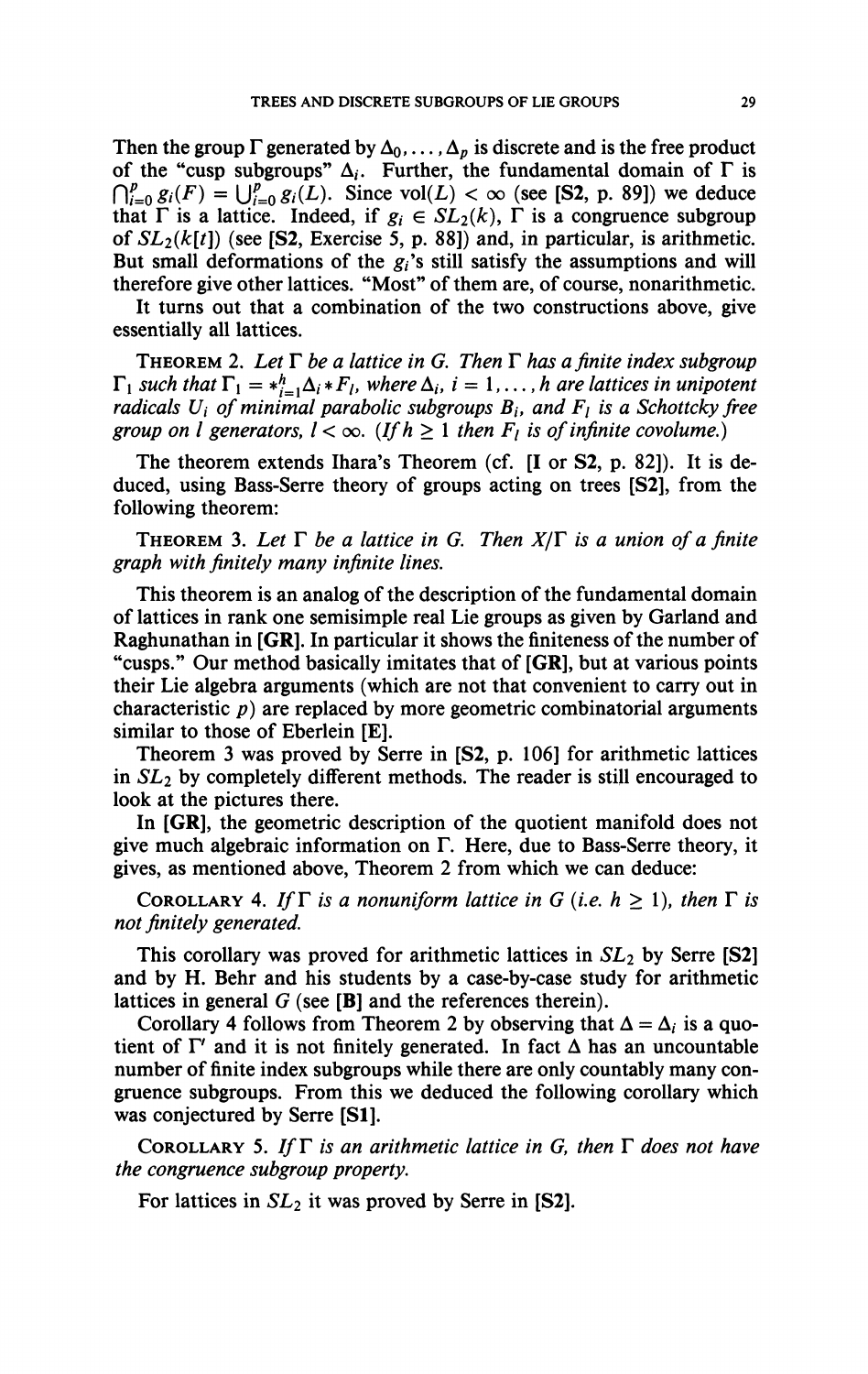Then the group  $\Gamma$  generated by  $\Delta_0, \ldots, \Delta_p$  is discrete and is the free product of the "cusp subgroups"  $\Delta_i$ . Further, the fundamental domain of  $\Gamma$  is  $\bigcap_{i=0}^p g_i(F) = \bigcup_{i=0}^p g_i(L)$ . Since vol $(L) < \infty$  (see [S2, p. 89]) we deduce that  $\Gamma$  is a lattice. Indeed, if  $g_i \in SL_2(k)$ ,  $\Gamma$  is a congruence subgroup of  $SL_2(k[t])$  (see [S2, Exercise 5, p. 88]) and, in particular, is arithmetic. But small deformations of the  $g_i$ 's still satisfy the assumptions and will **therefore give other lattices. "Most" of them are, of course, nonarithmetic.** 

**It turns out that a combination of the two constructions above, give essentially all lattices.** 

THEOREM 2. Let  $\Gamma$  be a lattice in G. Then  $\Gamma$  has a finite index subgroup  $\Gamma_1$  *such that*  $\Gamma_1 = *_{i=1}^h \Delta_i * F_i$ *, where*  $\Delta_i$ *, i* = 1*,..., h are lattices in unipotent radicals*  $U_i$  *of minimal parabolic subgroups*  $B_i$ *, and*  $F_i$  *is a Schottcky free group on l generators,*  $l < \infty$ *.* (If  $h \geq 1$  then  $F_l$  is of infinite covolume.)

**The theorem extends Ihara's Theorem (cf. [I or S2, p. 82]). It is deduced, using Bass-Serre theory of groups acting on trees [S2], from the following theorem:** 

THEOREM 3. Let  $\Gamma$  be a lattice in G. Then  $X/\Gamma$  is a union of a finite *graph with finitely many infinite lines.* 

**This theorem is an analog of the description of the fundamental domain of lattices in rank one semisimple real Lie groups as given by Garland and Raghunathan in [GR]. In particular it shows the finiteness of the number of "cusps." Our method basically imitates that of [GR], but at various points their Lie algebra arguments (which are not that convenient to carry out in characteristic** *p)* **are replaced by more geometric combinatorial arguments similar to those of Eberlein [E].** 

**Theorem 3 was proved by Serre in [S2, p. 106] for arithmetic lattices**  in  $SL_2$  by completely different methods. The reader is still encouraged to **look at the pictures there.** 

**In [GR], the geometric description of the quotient manifold does not give much algebraic information on T. Here, due to Bass-Serre theory, it gives, as mentioned above, Theorem 2 from which we can deduce:** 

COROLLARY 4. If  $\Gamma$  is a nonuniform lattice in G (i.e.  $h \geq 1$ ), then  $\Gamma$  is *not finitely generated.* 

**This corollary was proved for arithmetic lattices in 5X2 by Serre [S2] and by H. Behr and his students by a case-by-case study for arithmetic lattices in general** *G* **(see [B] and the references therein).** 

Corollary 4 follows from Theorem 2 by observing that  $\Delta = \Delta_i$  is a quotient of  $\Gamma'$  and it is not finitely generated. In fact  $\Delta$  has an uncountable **number of finite index subgroups while there are only countably many congruence subgroups. From this we deduced the following corollary which was conjectured by Serre [SI].** 

COROLLARY 5. If  $\Gamma$  is an arithmetic lattice in G, then  $\Gamma$  does not have *the congruence subgroup property.* 

For lattices in  $SL_2$  it was proved by Serre in [S2].